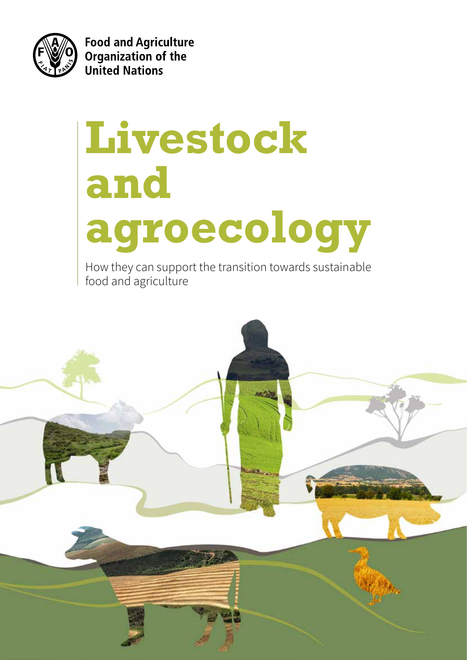

**Food and Agriculture** Organization of the **United Nations** 

# **Livestock and agroecology**

How they can support the transition towards sustainable food and agriculture

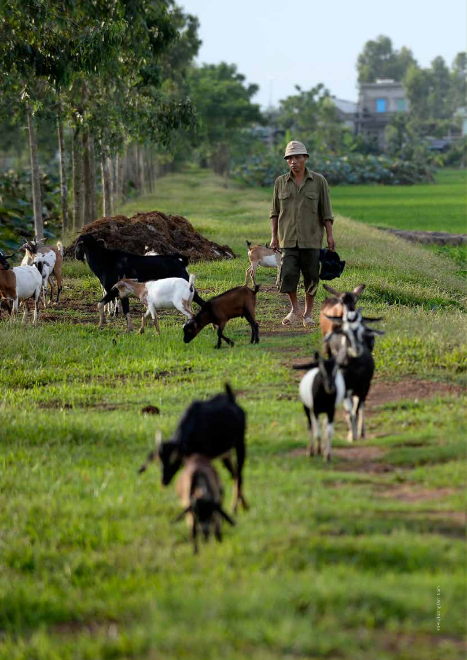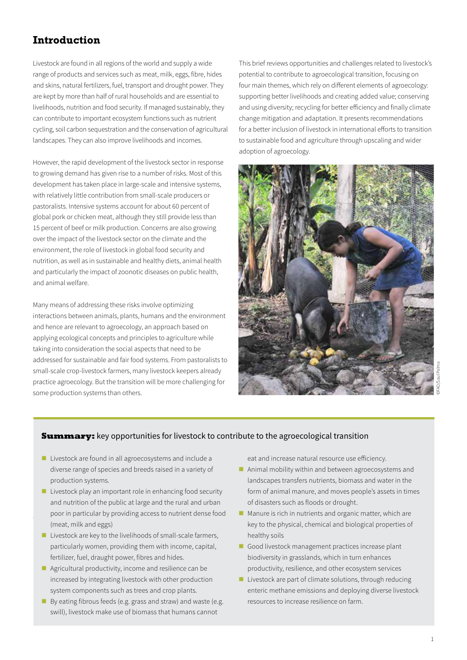# **Introduction**

Livestock are found in all regions of the world and supply a wide range of products and services such as meat, milk, eggs, fibre, hides and skins, natural fertilizers, fuel, transport and drought power. They are kept by more than half of rural households and are essential to livelihoods, nutrition and food security. If managed sustainably, they can contribute to important ecosystem functions such as nutrient cycling, soil carbon sequestration and the conservation of agricultural landscapes. They can also improve livelihoods and incomes.

However, the rapid development of the livestock sector in response to growing demand has given rise to a number of risks. Most of this development has taken place in large-scale and intensive systems, with relatively little contribution from small-scale producers or pastoralists. Intensive systems account for about 60 percent of global pork or chicken meat, although they still provide less than 15 percent of beef or milk production. Concerns are also growing over the impact of the livestock sector on the climate and the environment, the role of livestock in global food security and nutrition, as well as in sustainable and healthy diets, animal health and particularly the impact of zoonotic diseases on public health, and animal welfare.

Many means of addressing these risks involve optimizing interactions between animals, plants, humans and the environment and hence are relevant to agroecology, an approach based on applying ecological concepts and principles to agriculture while taking into consideration the social aspects that need to be addressed for sustainable and fair food systems. From pastoralists to small-scale crop-livestock farmers, many livestock keepers already practice agroecology. But the transition will be more challenging for some production systems than others.

This brief reviews opportunities and challenges related to livestock's potential to contribute to agroecological transition, focusing on four main themes, which rely on different elements of agroecology: supporting better livelihoods and creating added value; conserving and using diversity; recycling for better efficiency and finally climate change mitigation and adaptation. It presents recommendations for a better inclusion of livestock in international efforts to transition to sustainable food and agriculture through upscaling and wider adoption of agroecology.



#### **Summary:** key opportunities for livestock to contribute to the agroecological transition

- Livestock are found in all agroecosystems and include a diverse range of species and breeds raised in a variety of production systems.
- poor in particular by providing access to nutrient dense food  $\blacksquare$  Livestock play an important role in enhancing food security and nutrition of the public at large and the rural and urban (meat, milk and eggs)
	- $\blacksquare$  Livestock are key to the livelihoods of small-scale farmers, particularly women, providing them with income, capital, fertilizer, fuel, draught power, fibres and hides.
	- Agricultural productivity, income and resilience can be increased by integrating livestock with other production system components such as trees and crop plants.
	- By eating fibrous feeds (e.g. grass and straw) and waste (e.g. swill), livestock make use of biomass that humans cannot

eat and increase natural resource use efficiency.

- Animal mobility within and between agroecosystems and landscapes transfers nutrients, biomass and water in the form of animal manure, and moves people's assets in times of disasters such as floods or drought.
- $\blacksquare$  Manure is rich in nutrients and organic matter, which are key to the physical, chemical and biological properties of healthy soils
- Good livestock management practices increase plant biodiversity in grasslands, which in turn enhances productivity, resilience, and other ecosystem services
- $\blacksquare$  Livestock are part of climate solutions, through reducing enteric methane emissions and deploying diverse livestock resources to increase resilience on farm.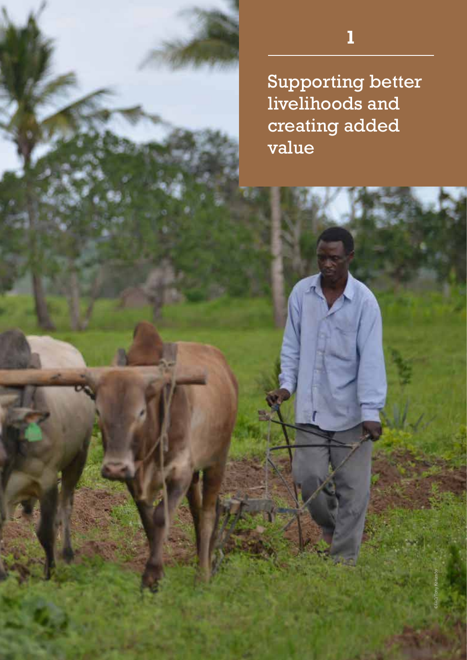# **1**

Supporting better livelihoods and creating added value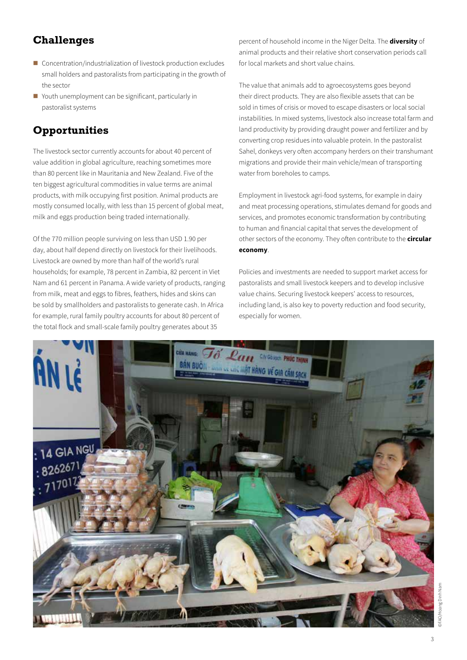- Concentration/industrialization of livestock production excludes small holders and pastoralists from participating in the growth of the sector
- Youth unemployment can be significant, particularly in pastoralist systems

# **Opportunities**

The livestock sector currently accounts for about 40 percent of value addition in global agriculture, reaching sometimes more than 80 percent like in Mauritania and New Zealand. Five of the ten biggest agricultural commodities in value terms are animal products, with milk occupying first position. Animal products are mostly consumed locally, with less than 15 percent of global meat, milk and eggs production being traded internationally.

Of the 770 million people surviving on less than USD 1.90 per day, about half depend directly on livestock for their livelihoods. Livestock are owned by more than half of the world's rural households; for example, 78 percent in Zambia, 82 percent in Viet Nam and 61 percent in Panama. A wide variety of products, ranging from milk, meat and eggs to fibres, feathers, hides and skins can be sold by smallholders and pastoralists to generate cash. In Africa for example, rural family poultry accounts for about 80 percent of the total flock and small-scale family poultry generates about 35

percent of household income in the Niger Delta. The **diversity** of animal products and their relative short conservation periods call for local markets and short value chains.

The value that animals add to agroecosystems goes beyond their direct products. They are also flexible assets that can be sold in times of crisis or moved to escape disasters or local social instabilities. In mixed systems, livestock also increase total farm and land productivity by providing draught power and fertilizer and by converting crop residues into valuable protein. In the pastoralist Sahel, donkeys very often accompany herders on their transhumant migrations and provide their main vehicle/mean of transporting water from boreholes to camps.

Employment in livestock agri-food systems, for example in dairy and meat processing operations, stimulates demand for goods and services, and promotes economic transformation by contributing to human and financial capital that serves the development of other sectors of the economy. They often contribute to the **circular economy**.

Policies and investments are needed to support market access for pastoralists and small livestock keepers and to develop inclusive value chains. Securing livestock keepers' access to resources, including land, is also key to poverty reduction and food security, especially for women.

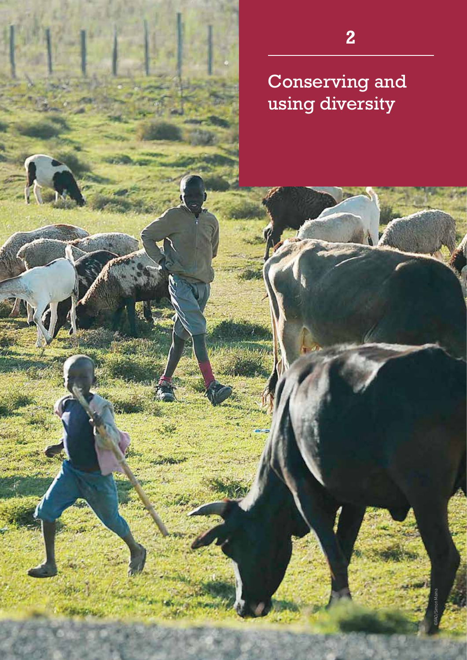$\mathcal{L}$ 

الما<sup>ر</sup> الموادة

**2**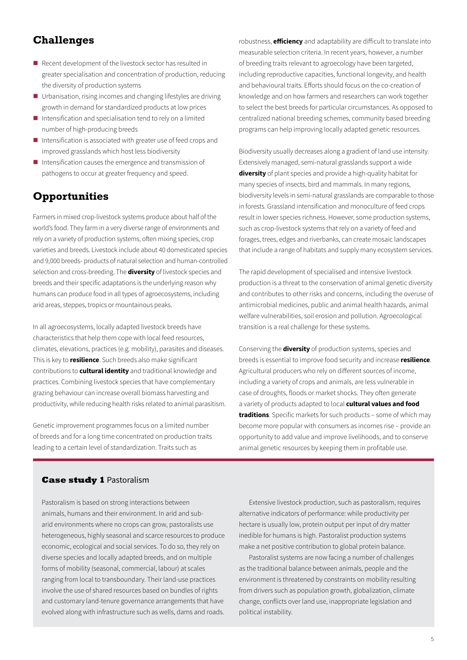- Recent development of the livestock sector has resulted in greater specialisation and concentration of production, reducing the diversity of production systems
- Urbanisation, rising incomes and changing lifestyles are driving growth in demand for standardized products at low prices
- Intensification and specialisation tend to rely on a limited number of high-producing breeds
- Intensification is associated with greater use of feed crops and improved grasslands which host less biodiversity
- $\blacksquare$  Intensification causes the emergence and transmission of pathogens to occur at greater frequency and speed.

# **Opportunities**

Farmers in mixed crop-livestock systems produce about half of the world's food. They farm in a very diverse range of environments and rely on a variety of production systems, often mixing species, crop varieties and breeds. Livestock include about 40 domesticated species and 9,000 breeds- products of natural selection and human-controlled selection and cross-breeding. The **diversity** of livestock species and breeds and their specific adaptations is the underlying reason why humans can produce food in all types of agroecosystems, including arid areas, steppes, tropics or mountainous peaks.

In all agroecosystems, locally adapted livestock breeds have characteristics that help them cope with local feed resources, climates, elevations, practices (e.g. mobility), parasites and diseases. This is key to **resilience**. Such breeds also make significant contributions to **cultural identity** and traditional knowledge and practices. Combining livestock species that have complementary grazing behaviour can increase overall biomass harvesting and productivity, while reducing health risks related to animal parasitism.

Genetic improvement programmes focus on a limited number of breeds and for a long time concentrated on production traits leading to a certain level of standardization. Traits such as

robustness, **efficiency** and adaptability are difficult to translate into measurable selection criteria. In recent years, however, a number of breeding traits relevant to agroecology have been targeted, including reproductive capacities, functional longevity, and health and behavioural traits. Efforts should focus on the co-creation of knowledge and on how farmers and researchers can work together to select the best breeds for particular circumstances. As opposed to centralized national breeding schemes, community based breeding programs can help improving locally adapted genetic resources.

Biodiversity usually decreases along a gradient of land use intensity. Extensively managed, semi-natural grasslands support a wide **diversity** of plant species and provide a high-quality habitat for many species of insects, bird and mammals. In many regions, biodiversity levels in semi-natural grasslands are comparable to those in forests. Grassland intensification and monoculture of feed crops result in lower species richness. However, some production systems, such as crop-livestock systems that rely on a variety of feed and forages, trees, edges and riverbanks, can create mosaic landscapes that include a range of habitats and supply many ecosystem services.

The rapid development of specialised and intensive livestock production is a threat to the conservation of animal genetic diversity and contributes to other risks and concerns, including the overuse of antimicrobial medicines, public and animal health hazards, animal welfare vulnerabilities, soil erosion and pollution. Agroecological transition is a real challenge for these systems.

Conserving the **diversity** of production systems, species and breeds is essential to improve food security and increase **resilience**. Agricultural producers who rely on different sources of income, including a variety of crops and animals, are less vulnerable in case of droughts, floods or market shocks. They often generate a variety of products adapted to local **cultural values and food traditions**. Specific markets for such products – some of which may become more popular with consumers as incomes rise – provide an opportunity to add value and improve livelihoods, and to conserve animal genetic resources by keeping them in profitable use.

#### **Case study 1** Pastoralism

Pastoralism is based on strong interactions between animals, humans and their environment. In arid and subarid environments where no crops can grow, pastoralists use heterogeneous, highly seasonal and scarce resources to produce economic, ecological and social services. To do so, they rely on diverse species and locally adapted breeds, and on multiple forms of mobility (seasonal, commercial, labour) at scales ranging from local to transboundary. Their land-use practices involve the use of shared resources based on bundles of rights and customary land-tenure governance arrangements that have evolved along with infrastructure such as wells, dams and roads.

Extensive livestock production, such as pastoralism, requires alternative indicators of performance: while productivity per hectare is usually low, protein output per input of dry matter inedible for humans is high. Pastoralist production systems make a net positive contribution to global protein balance.

Pastoralist systems are now facing a number of challenges as the traditional balance between animals, people and the environment is threatened by constraints on mobility resulting from drivers such as population growth, globalization, climate change, conflicts over land use, inappropriate legislation and political instability.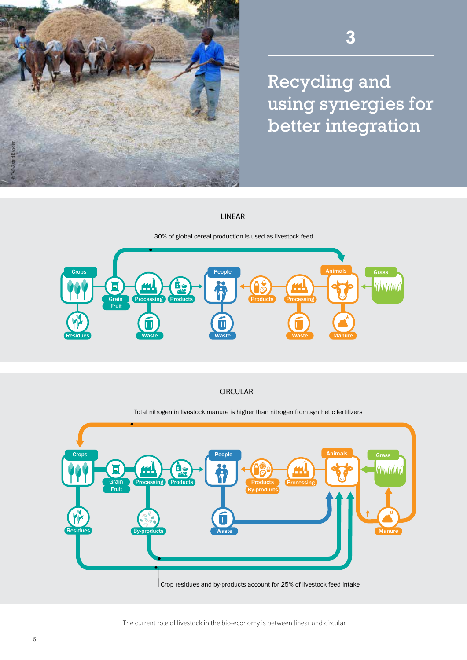

Recycling and using synergies for better integration

#### LINEAR



CIRCULAR

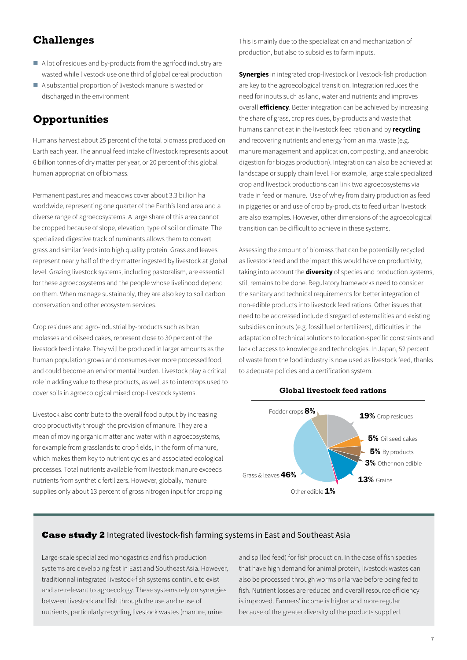- A lot of residues and by-products from the agrifood industry are wasted while livestock use one third of global cereal production
- A substantial proportion of livestock manure is wasted or discharged in the environment

# **Opportunities**

Humans harvest about 25 percent of the total biomass produced on Earth each year. The annual feed intake of livestock represents about 6 billion tonnes of dry matter per year, or 20 percent of this global human appropriation of biomass.

Permanent pastures and meadows cover about 3.3 billion ha worldwide, representing one quarter of the Earth's land area and a diverse range of agroecosystems. A large share of this area cannot be cropped because of slope, elevation, type of soil or climate. The specialized digestive track of ruminants allows them to convert grass and similar feeds into high quality protein. Grass and leaves represent nearly half of the dry matter ingested by livestock at global level. Grazing livestock systems, including pastoralism, are essential for these agroecosystems and the people whose livelihood depend on them. When manage sustainably, they are also key to soil carbon conservation and other ecosystem services.

Crop residues and agro-industrial by-products such as bran, molasses and oilseed cakes, represent close to 30 percent of the livestock feed intake. They will be produced in larger amounts as the human population grows and consumes ever more processed food, and could become an environmental burden. Livestock play a critical **Global land cover** role in adding value to these products, as well as to intercrops used to cover soils in agroecological mixed crop-livestock systems.

Livestock also contribute to the overall food output by increasing crop productivity through the provision of manure. They are a mean of moving organic matter and water within agroecosystems, for example from grasslands to crop fields, in the form of manure, which makes them key to nutrient cycles and associated ecological processes. Total nutrients available from livestock manure exceeds processes. Total nathems dramatic hominicate in miantic energy<br>nutrients from synthetic fertilizers. However, globally, manure supplies only about 13 percent of gross nitrogen input for cropping Other land example inc

This is mainly due to the specialization and mechanization of production, but also to subsidies to farm inputs.

**Synergies** in integrated crop-livestock or livestock-fish production are key to the agroecological transition. Integration reduces the need for inputs such as land, water and nutrients and improves overall **efficiency**. Better integration can be achieved by increasing the share of grass, crop residues, by-products and waste that humans cannot eat in the livestock feed ration and by **recycling** and recovering nutrients and energy from animal waste (e.g. manure management and application, composting, and anaerobic digestion for biogas production). Integration can also be achieved at landscape or supply chain level. For example, large scale specialized crop and livestock productions can link two agroecosystems via trade in feed or manure. Use of whey from dairy production as feed in piggeries or and use of crop by-products to feed urban livestock are also examples. However, other dimensions of the agroecological transition can be difficult to achieve in these systems.

Assessing the amount of biomass that can be potentially recycled as livestock feed and the impact this would have on productivity, taking into account the **diversity** of species and production systems, still remains to be done. Regulatory frameworks need to consider the sanitary and technical requirements for better integration of non-edible products into livestock feed rations. Other issues that need to be addressed include disregard of externalities and existing subsidies on inputs (e.g. fossil fuel or fertilizers), difficulties in the adaptation of technical solutions to location-specific constraints and lack of access to knowledge and technologies. In Japan, 52 percent of waste from the food industry is now used as livestock feed, thanks to adequate policies and a certification system.



#### **Global livestock feed rations**

#### **Case study 2** Integrated livestock-fish farming systems in East and Southeast Asia

Large-scale specialized monogastrics and fish production systems are developing fast in East and Southeast Asia. However, traditionnal integrated livestock-fish systems continue to exist and are relevant to agroecology. These systems rely on synergies between livestock and fish through the use and reuse of nutrients, particularly recycling livestock wastes (manure, urine

and spilled feed) for fish production. In the case of fish species that have high demand for animal protein, livestock wastes can also be processed through worms or larvae before being fed to fish. Nutrient losses are reduced and overall resource efficiency is improved. Farmers' income is higher and more regular because of the greater diversity of the products supplied.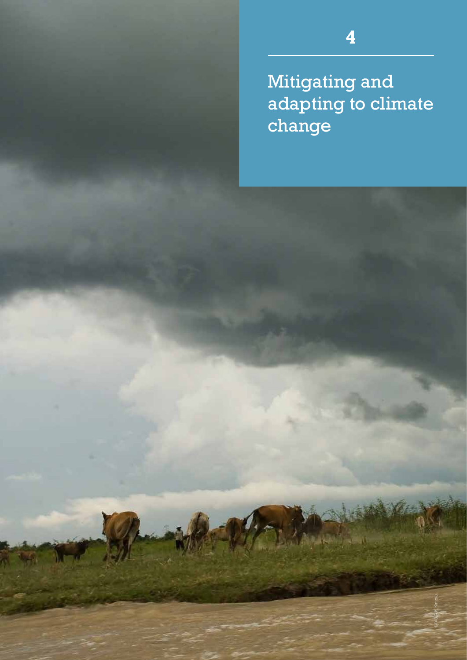Mitigating and adapting to climate change

**4**

©FAO/A.K. Kimoto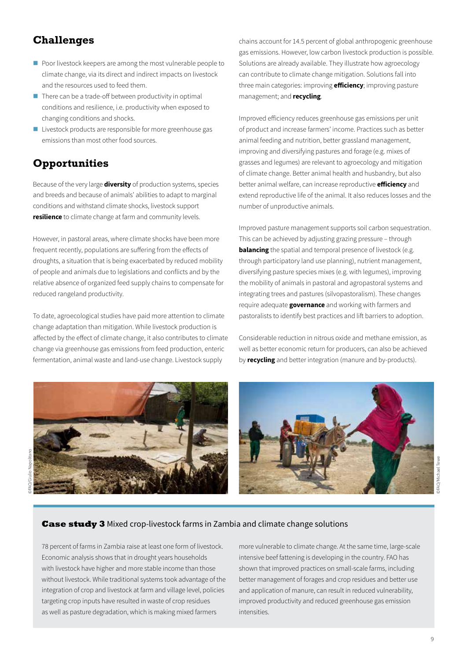- Poor livestock keepers are among the most vulnerable people to climate change, via its direct and indirect impacts on livestock and the resources used to feed them.
- $\blacksquare$  There can be a trade-off between productivity in optimal conditions and resilience, i.e. productivity when exposed to changing conditions and shocks.
- Livestock products are responsible for more greenhouse gas emissions than most other food sources.

### **Opportunities**

Because of the very large **diversity** of production systems, species and breeds and because of animals' abilities to adapt to marginal conditions and withstand climate shocks, livestock support **resilience** to climate change at farm and community levels.

However, in pastoral areas, where climate shocks have been more frequent recently, populations are suffering from the effects of droughts, a situation that is being exacerbated by reduced mobility of people and animals due to legislations and conflicts and by the relative absence of organized feed supply chains to compensate for reduced rangeland productivity.

To date, agroecological studies have paid more attention to climate change adaptation than mitigation. While livestock production is affected by the effect of climate change, it also contributes to climate change via greenhouse gas emissions from feed production, enteric fermentation, animal waste and land-use change. Livestock supply

chains account for 14.5 percent of global anthropogenic greenhouse gas emissions. However, low carbon livestock production is possible. Solutions are already available. They illustrate how agroecology can contribute to climate change mitigation. Solutions fall into three main categories: improving **efficiency**; improving pasture management; and **recycling**.

Improved efficiency reduces greenhouse gas emissions per unit of product and increase farmers' income. Practices such as better animal feeding and nutrition, better grassland management, improving and diversifying pastures and forage (e.g. mixes of grasses and legumes) are relevant to agroecology and mitigation of climate change. Better animal health and husbandry, but also better animal welfare, can increase reproductive **efficiency** and extend reproductive life of the animal. It also reduces losses and the number of unproductive animals.

Improved pasture management supports soil carbon sequestration. This can be achieved by adjusting grazing pressure – through **balancing** the spatial and temporal presence of livestock (e.g. through participatory land use planning), nutrient management, diversifying pasture species mixes (e.g. with legumes), improving the mobility of animals in pastoral and agropastoral systems and integrating trees and pastures (silvopastoralism). These changes require adequate **governance** and working with farmers and pastoralists to identify best practices and lift barriers to adoption.

Considerable reduction in nitrous oxide and methane emission, as well as better economic return for producers, can also be achieved by **recycling** and better integration (manure and by-products).



©FAO/Giulio Napolitano

#### **Case study 3** Mixed crop-livestock farms in Zambia and climate change solutions

78 percent of farms in Zambia raise at least one form of livestock. Economic analysis shows that in drought years households with livestock have higher and more stable income than those without livestock. While traditional systems took advantage of the integration of crop and livestock at farm and village level, policies targeting crop inputs have resulted in waste of crop residues as well as pasture degradation, which is making mixed farmers

more vulnerable to climate change. At the same time, large-scale intensive beef fattening is developing in the country. FAO has shown that improved practices on small-scale farms, including better management of forages and crop residues and better use and application of manure, can result in reduced vulnerability, improved productivity and reduced greenhouse gas emission intensities.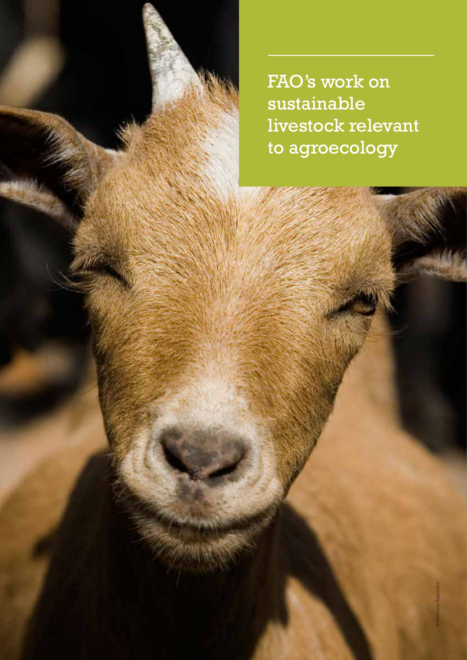FAO's work on sustainable livestock relevant to agroecology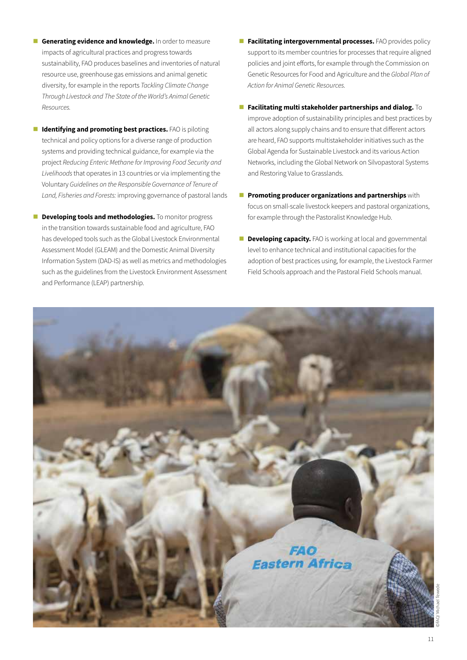- **Generating evidence and knowledge.** In order to measure impacts of agricultural practices and progress towards sustainability, FAO produces baselines and inventories of natural resource use, greenhouse gas emissions and animal genetic diversity, for example in the reports *Tackling Climate Change Through Livestock and The State of the World's Animal Genetic Resources.*
- **I** Identifying and promoting best practices. FAO is piloting technical and policy options for a diverse range of production systems and providing technical guidance, for example via the project *Reducing Enteric Methane for Improving Food Security and Livelihoods* that operates in 13 countries or via implementing the Voluntary *Guidelines on the Responsible Governance of Tenure of Land, Fisheries and Forests:* improving governance of pastoral lands
- **Developing tools and methodologies.** To monitor progress in the transition towards sustainable food and agriculture, FAO has developed tools such as the Global Livestock Environmental Assessment Model (GLEAM) and the Domestic Animal Diversity Information System (DAD-IS) as well as metrics and methodologies such as the guidelines from the Livestock Environment Assessment and Performance (LEAP) partnership.
- **Facilitating intergovernmental processes.** FAO provides policy support to its member countries for processes that require aligned policies and joint efforts, for example through the Commission on Genetic Resources for Food and Agriculture and the *Global Plan of Action for Animal Genetic Resources.*
- **Facilitating multi stakeholder partnerships and dialog.** To improve adoption of sustainability principles and best practices by all actors along supply chains and to ensure that different actors are heard, FAO supports multistakeholder initiatives such as the Global Agenda for Sustainable Livestock and its various Action Networks, including the Global Network on Silvopastoral Systems and Restoring Value to Grasslands.
- **Promoting producer organizations and partnerships** with focus on small-scale livestock keepers and pastoral organizations, for example through the Pastoralist Knowledge Hub.
- **Developing capacity.** FAO is working at local and governmental level to enhance technical and institutional capacities for the adoption of best practices using, for example, the Livestock Farmer Field Schools approach and the Pastoral Field Schools manual.

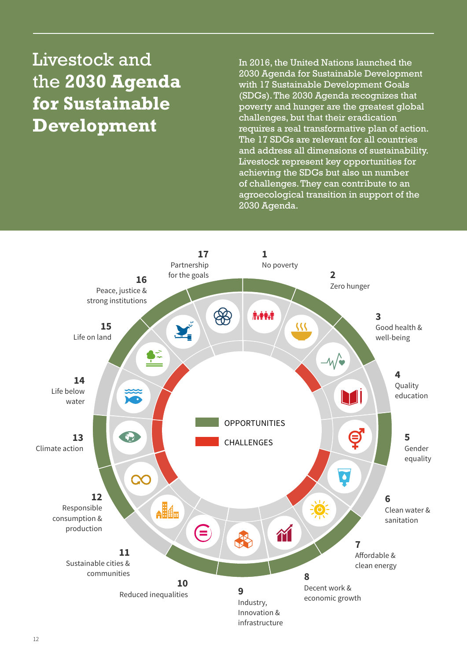# Livestock and the **2030 Agenda for Sustainable Development**

In 2016, the United Nations launched the 2030 Agenda for Sustainable Development with 17 Sustainable Development Goals (SDGs). The 2030 Agenda recognizes that poverty and hunger are the greatest global challenges, but that their eradication requires a real transformative plan of action. The 17 SDGs are relevant for all countries and address all dimensions of sustainability. Livestock represent key opportunities for achieving the SDGs but also un number of challenges. They can contribute to an agroecological transition in support of the 2030 Agenda.

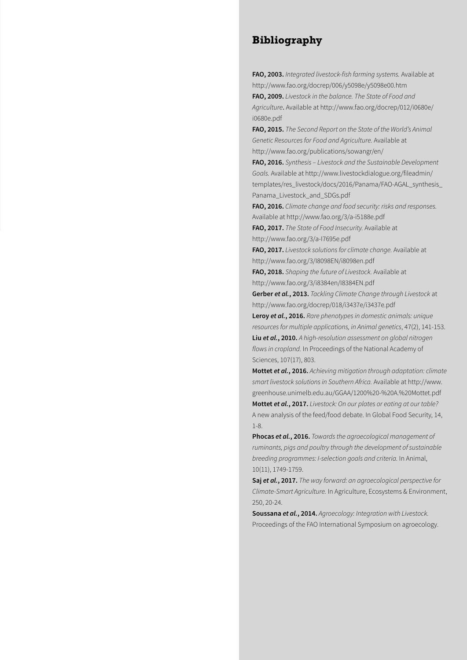#### **Bibliography**

**FAO, 2003.** *Integrated livestock-fish farming systems.* Available at http://www.fao.org/docrep/006/y5098e/y5098e00.htm

**FAO, 2009.** *Livestock in the balance. The State of Food and Agriculture*. Available at http://www.fao.org/docrep/012/i0680e/ i0680e.pdf

**FAO, 2015.** *The Second Report on the State of the World's Animal Genetic Resources for Food and Agriculture.* Available at http://www.fao.org/publications/sowangr/en/

**FAO, 2016.** *Synthesis – Livestock and the Sustainable Development Goals.* Available at http://www.livestockdialogue.org/fileadmin/ templates/res\_livestock/docs/2016/Panama/FAO-AGAL\_synthesis\_ Panama\_Livestock\_and\_SDGs.pdf

**FAO, 2016.** *Climate change and food security: risks and responses.*  Available at http://www.fao.org/3/a-i5188e.pdf

**FAO, 2017.** *The State of Food Insecurity.* Available at http://www.fao.org/3/a-I7695e.pdf

**FAO, 2017.** *Livestock solutions for climate change.* Available at http://www.fao.org/3/I8098EN/i8098en.pdf

**FAO, 2018.** *Shaping the future of Livestock.* Available at http://www.fao.org/3/i8384en/I8384EN.pdf

**Gerber** *et al.***, 2013.** *Tackling Climate Change through Livestock* at http://www.fao.org/docrep/018/i3437e/i3437e.pdf

**Leroy** *et al.***, 2016.** *Rare phenotypes in domestic animals: unique resources for multiple applications, in Animal genetics*, 47(2), 141-153. **Liu** *et al.***, 2010.** *A high-resolution assessment on global nitrogen flows in cropland.* In Proceedings of the National Academy of Sciences, 107(17), 803.

**Mottet** *et al.***, 2016.** *Achieving mitigation through adaptation: climate smart livestock solutions in Southern Africa.* Available at http://www. greenhouse.unimelb.edu.au/GGAA/1200%20-%20A.%20Mottet.pdf **Mottet** *et al.***, 2017.** *Livestock: On our plates or eating at our table?* A new analysis of the feed/food debate. In Global Food Security, 14, 1-8.

**Phocas** *et al.***, 2016.** *Towards the agroecological management of ruminants, pigs and poultry through the development of sustainable breeding programmes: I-selection goals and criteria.* In Animal, 10(11), 1749-1759.

**Saj** *et al.***, 2017.** *The way forward: an agroecological perspective for Climate-Smart Agriculture.* In Agriculture, Ecosystems & Environment, 250, 20-24.

**Soussana** *et al.***, 2014.** *Agroecology: Integration with Livestock.*  Proceedings of the FAO International Symposium on agroecology.